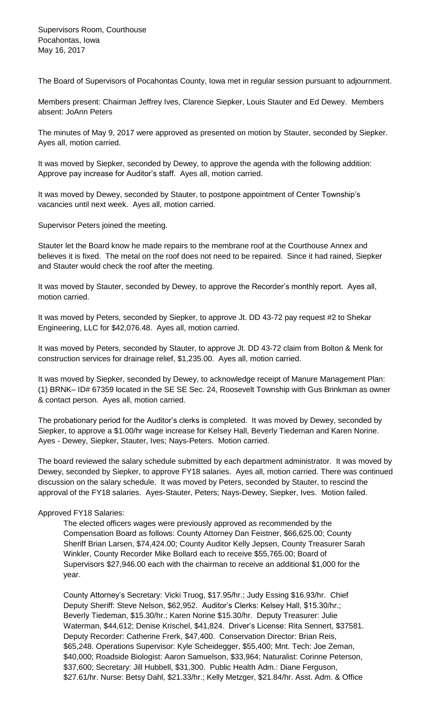The Board of Supervisors of Pocahontas County, Iowa met in regular session pursuant to adjournment.

Members present: Chairman Jeffrey Ives, Clarence Siepker, Louis Stauter and Ed Dewey. Members absent: JoAnn Peters

The minutes of May 9, 2017 were approved as presented on motion by Stauter, seconded by Siepker. Ayes all, motion carried.

It was moved by Siepker, seconded by Dewey, to approve the agenda with the following addition: Approve pay increase for Auditor's staff. Ayes all, motion carried.

It was moved by Dewey, seconded by Stauter, to postpone appointment of Center Township's vacancies until next week. Ayes all, motion carried.

Supervisor Peters joined the meeting.

Stauter let the Board know he made repairs to the membrane roof at the Courthouse Annex and believes it is fixed. The metal on the roof does not need to be repaired. Since it had rained, Siepker and Stauter would check the roof after the meeting.

It was moved by Stauter, seconded by Dewey, to approve the Recorder's monthly report. Ayes all, motion carried.

It was moved by Peters, seconded by Siepker, to approve Jt. DD 43-72 pay request #2 to Shekar Engineering, LLC for \$42,076.48. Ayes all, motion carried.

It was moved by Peters, seconded by Stauter, to approve Jt. DD 43-72 claim from Bolton & Menk for construction services for drainage relief, \$1,235.00. Ayes all, motion carried.

It was moved by Siepker, seconded by Dewey, to acknowledge receipt of Manure Management Plan: (1) BRNK– ID# 67359 located in the SE SE Sec. 24, Roosevelt Township with Gus Brinkman as owner & contact person. Ayes all, motion carried.

The probationary period for the Auditor's clerks is completed. It was moved by Dewey, seconded by Siepker, to approve a \$1.00/hr wage increase for Kelsey Hall, Beverly Tiedeman and Karen Norine. Ayes - Dewey, Siepker, Stauter, Ives; Nays-Peters. Motion carried.

The board reviewed the salary schedule submitted by each department administrator. It was moved by Dewey, seconded by Siepker, to approve FY18 salaries. Ayes all, motion carried. There was continued discussion on the salary schedule. It was moved by Peters, seconded by Stauter, to rescind the approval of the FY18 salaries. Ayes-Stauter, Peters; Nays-Dewey, Siepker, Ives. Motion failed.

## Approved FY18 Salaries:

The elected officers wages were previously approved as recommended by the Compensation Board as follows: County Attorney Dan Feistner, \$66,625.00; County Sheriff Brian Larsen, \$74,424.00; County Auditor Kelly Jepsen, County Treasurer Sarah Winkler, County Recorder Mike Bollard each to receive \$55,765.00; Board of Supervisors \$27,946.00 each with the chairman to receive an additional \$1,000 for the year.

County Attorney's Secretary: Vicki Truog, \$17.95/hr.; Judy Essing \$16.93/hr. Chief Deputy Sheriff: Steve Nelson, \$62,952. Auditor's Clerks: Kelsey Hall, \$15.30/hr.; Beverly Tiedeman, \$15.30/hr.; Karen Norine \$15.30/hr. Deputy Treasurer: Julie Waterman, \$44,612; Denise Krischel, \$41,824. Driver's License: Rita Sennert, \$37581. Deputy Recorder: Catherine Frerk, \$47,400. Conservation Director: Brian Reis, \$65,248. Operations Supervisor: Kyle Scheidegger, \$55,400; Mnt. Tech: Joe Zeman, \$40,000; Roadside Biologist: Aaron Samuelson, \$33,964; Naturalist: Corinne Peterson, \$37,600; Secretary: Jill Hubbell, \$31,300. Public Health Adm.: Diane Ferguson, \$27.61/hr. Nurse: Betsy Dahl, \$21.33/hr.; Kelly Metzger, \$21.84/hr. Asst. Adm. & Office